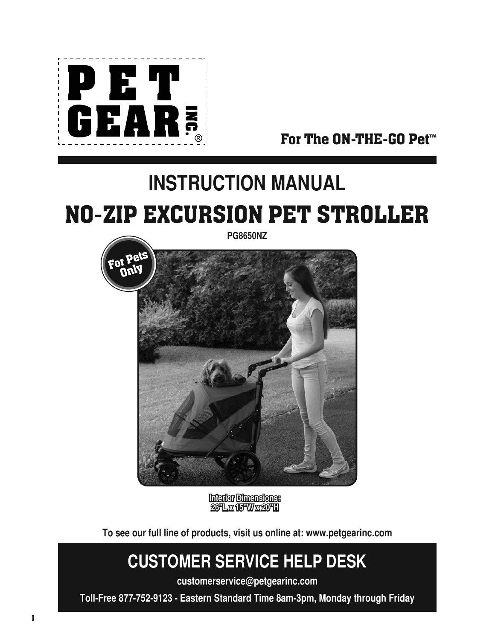

For The ON-THE-GO Pet**™**

# **INSTRUCTION MANUAL** NO-ZIP EXCURSION PET STROLLER



**Interior Dimensions: 26"L x 15"W x 20"H**

**To see our full line of products, visit us online at: www.petgearinc.com**

## **CUSTOMER SERVICE HELP DESK**

**customerservice@petgearinc.com**

**Toll-Free 877-752-9123 - Eastern Standard Time 8am-3pm, Monday through Friday**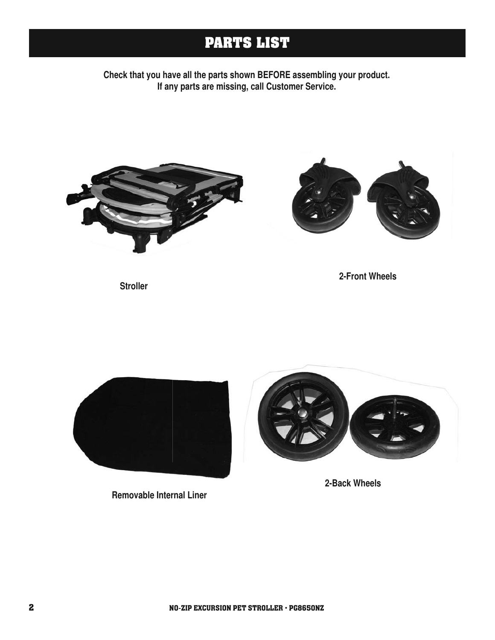## **PARTS LIST**

**Check that you have all the parts shown BEFORE assembling your product. If any parts are missing, call Customer Service.**





**2-Front Wheels**

**Stroller**



**Removable Internal Liner**



**2-Back Wheels**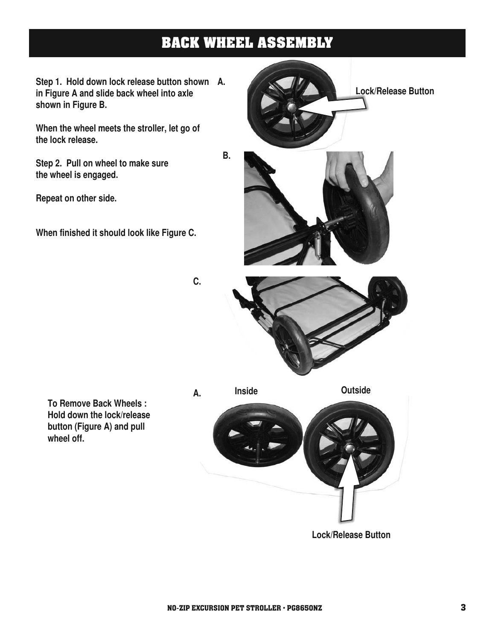## **BACK WHEEL ASSEMBLY**

**Step 1. Hold down lock release button shown A. in Figure A and slide back wheel into axle shown in Figure B.**

**When the wheel meets the stroller, let go of the lock release.**

**Step 2. Pull on wheel to make sure the wheel is engaged.** 

**Repeat on other side.** 

**When finished it should look like Figure C.** 



**C.**

**To Remove Back Wheels : Hold down the lock/release button (Figure A) and pull wheel off.**

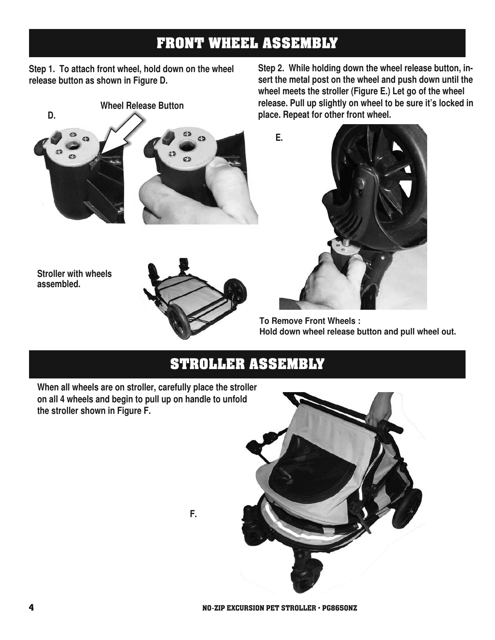### **FRONT WHEEL ASSEMBLY**

**Step 1. To attach front wheel, hold down on the wheel release button as shown in Figure D.**



**Stroller with wheels assembled.**



**Step 2. While holding down the wheel release button, insert the metal post on the wheel and push down until the wheel meets the stroller (Figure E.) Let go of the wheel release. Pull up slightly on wheel to be sure it's locked in place. Repeat for other front wheel.**



**To Remove Front Wheels : Hold down wheel release button and pull wheel out.**

#### **STROLLER ASSEMBLY**

**When all wheels are on stroller, carefully place the stroller on all 4 wheels and begin to pull up on handle to unfold the stroller shown in Figure F.**



**F.**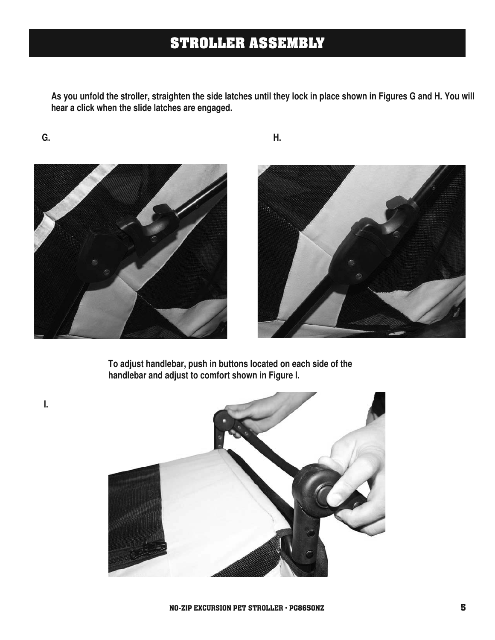## **STROLLER ASSEMBLY**

**As you unfold the stroller, straighten the side latches until they lock in place shown in Figures G and H. You will hear a click when the slide latches are engaged.**

**G. H.**

**I.**





**To adjust handlebar, push in buttons located on each side of the handlebar and adjust to comfort shown in Figure I.**

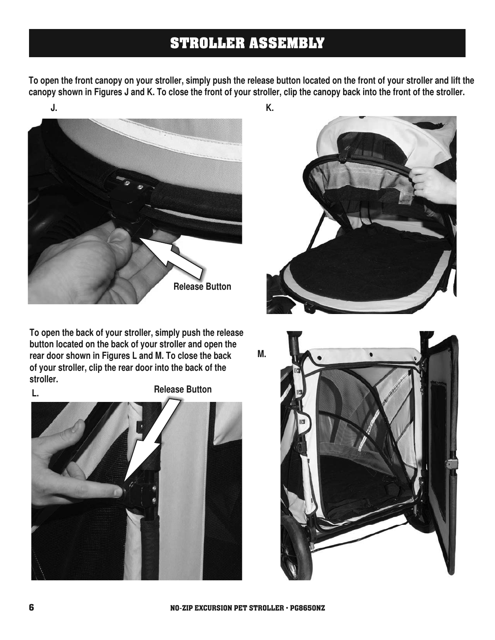## **STROLLER ASSEMBLY**

**To open the front canopy on your stroller, simply push the release button located on the front of your stroller and lift the canopy shown in Figures J and K. To close the front of your stroller, clip the canopy back into the front of the stroller.**



**To open the back of your stroller, simply push the release button located on the back of your stroller and open the rear door shown in Figures L and M. To close the back of your stroller, clip the rear door into the back of the stroller.**

**L.**

**Release Button** 





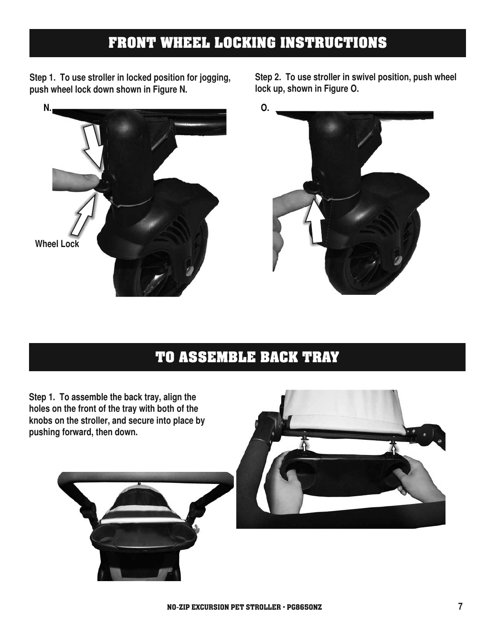## **FRONT WHEEL LOCKING INSTRUCTIONS**

**Step 1. To use stroller in locked position for jogging, push wheel lock down shown in Figure N.**



**Step 2. To use stroller in swivel position, push wheel lock up, shown in Figure O.**



## **TO ASSEMBLE BACK TRAY**

**Step 1. To assemble the back tray, align the holes on the front of the tray with both of the knobs on the stroller, and secure into place by pushing forward, then down.**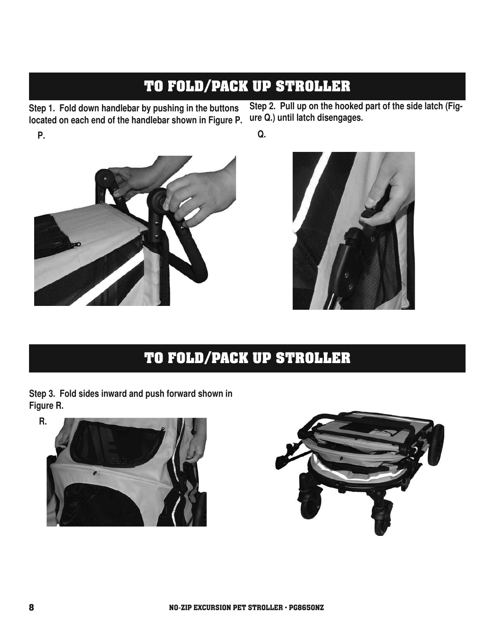## **TO FOLD/PACK UP STROLLER**

**Step 1. Fold down handlebar by pushing in the buttons located on each end of the handlebar shown in Figure P. P.**

**Step 2. Pull up on the hooked part of the side latch (Figure Q.) until latch disengages.**

**Q.**



## **TO FOLD/PACK UP STROLLER**

**Step 3. Fold sides inward and push forward shown in Figure R.**



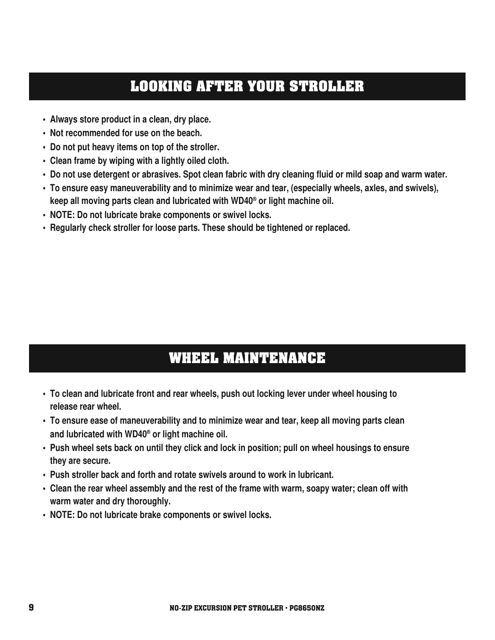#### **LOOKING AFTER YOUR STROLLER**

- **Always store product in a clean, dry place.**
- **Not recommended for use on the beach.**
- **Do not put heavy items on top of the stroller.**
- **Clean frame by wiping with a lightly oiled cloth.**
- **Do not use detergent or abrasives. Spot clean fabric with dry cleaning fluid or mild soap and warm water.**
- **To ensure easy maneuverability and to minimize wear and tear, (especially wheels, axles, and swivels), keep all moving parts clean and lubricated with WD40® or light machine oil.**
- **NOTE: Do not lubricate brake components or swivel locks.**
- **Regularly check stroller for loose parts. These should be tightened or replaced.**

## **WHEEL MAINTENANCE**

- **To clean and lubricate front and rear wheels, push out locking lever under wheel housing to release rear wheel.**
- **To ensure ease of maneuverability and to minimize wear and tear, keep all moving parts clean and lubricated with WD40® or light machine oil.**
- **Push wheel sets back on until they click and lock in position; pull on wheel housings to ensure they are secure.**
- **Push stroller back and forth and rotate swivels around to work in lubricant.**
- **Clean the rear wheel assembly and the rest of the frame with warm, soapy water; clean off with warm water and dry thoroughly.**
- **NOTE: Do not lubricate brake components or swivel locks.**